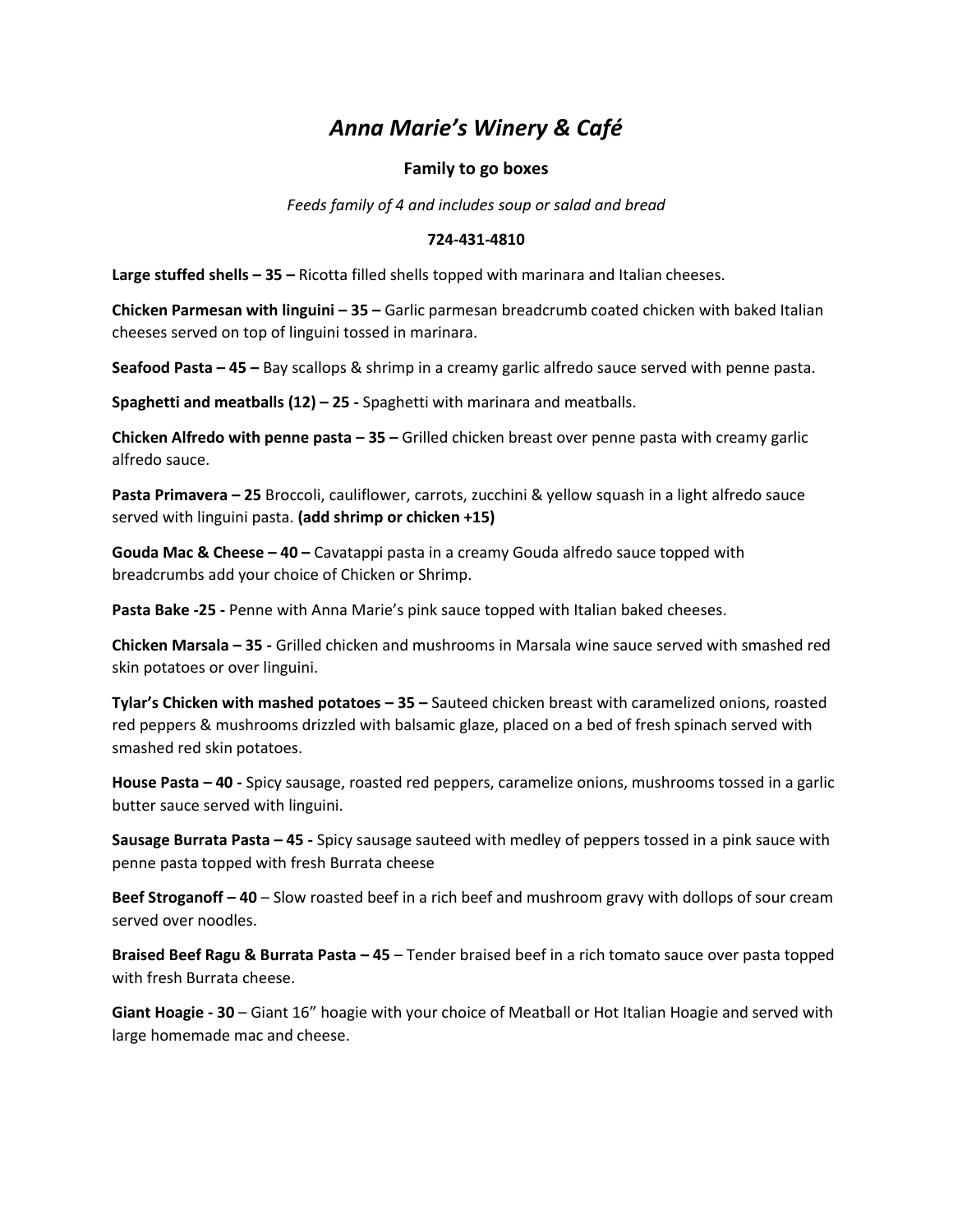# *Anna Marie's Winery & Café*

### **Family to go boxes**

*Feeds family of 4 and includes soup or salad and bread*

#### **724-431-4810**

**Large stuffed shells – 35 –** Ricotta filled shells topped with marinara and Italian cheeses.

**Chicken Parmesan with linguini – 35 – Garlic parmesan breadcrumb coated chicken with baked Italian** cheeses served on top of linguini tossed in marinara.

**Seafood Pasta – 45 –** Bay scallops & shrimp in a creamy garlic alfredo sauce served with penne pasta.

**Spaghetti and meatballs (12) – 25 -** Spaghetti with marinara and meatballs.

**Chicken Alfredo with penne pasta – 35 –** Grilled chicken breast over penne pasta with creamy garlic alfredo sauce.

**Pasta Primavera – 25** Broccoli, cauliflower, carrots, zucchini & yellow squash in a light alfredo sauce served with linguini pasta. **(add shrimp or chicken +15)**

**Gouda Mac & Cheese – 40 –** Cavatappi pasta in a creamy Gouda alfredo sauce topped with breadcrumbs add your choice of Chicken or Shrimp.

**Pasta Bake -25 -** Penne with Anna Marie's pink sauce topped with Italian baked cheeses.

**Chicken Marsala – 35 -** Grilled chicken and mushrooms in Marsala wine sauce served with smashed red skin potatoes or over linguini.

**Tylar's Chicken with mashed potatoes – 35 –** Sauteed chicken breast with caramelized onions, roasted red peppers & mushrooms drizzled with balsamic glaze, placed on a bed of fresh spinach served with smashed red skin potatoes.

**House Pasta – 40 -** Spicy sausage, roasted red peppers, caramelize onions, mushrooms tossed in a garlic butter sauce served with linguini.

**Sausage Burrata Pasta – 45 -** Spicy sausage sauteed with medley of peppers tossed in a pink sauce with penne pasta topped with fresh Burrata cheese

**Beef Stroganoff – 40** – Slow roasted beef in a rich beef and mushroom gravy with dollops of sour cream served over noodles.

**Braised Beef Ragu & Burrata Pasta – 45** – Tender braised beef in a rich tomato sauce over pasta topped with fresh Burrata cheese.

**Giant Hoagie - 30** – Giant 16" hoagie with your choice of Meatball or Hot Italian Hoagie and served with large homemade mac and cheese.